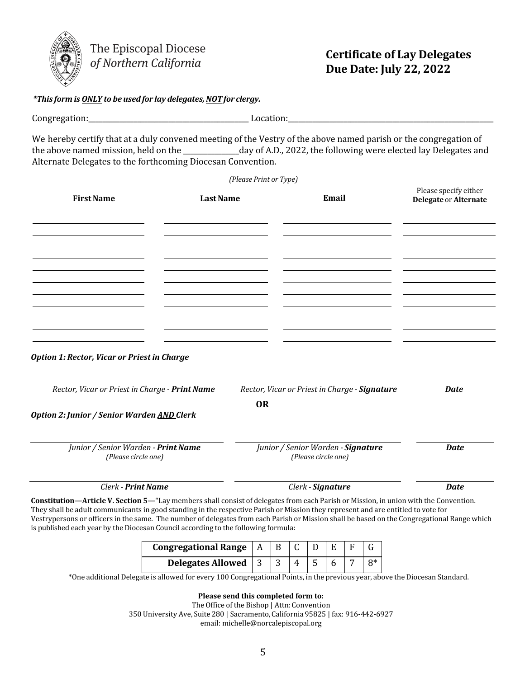

The Episcopal Diocese of Northern California

## *\*This form is ONLY to be usedfor lay delegates,NOTfor clergy.*

## **Certificate of Lay Delegates Due Date: July 22, 2022**

Congregation:\_\_\_\_\_\_\_\_\_\_\_\_\_\_\_\_\_\_\_\_\_\_\_\_\_\_\_\_\_\_\_\_\_\_\_\_\_\_\_\_\_\_\_\_\_\_ Location:\_\_\_\_\_\_\_\_\_\_\_\_\_\_\_\_\_\_\_\_\_\_\_\_\_\_\_\_\_\_\_\_\_\_\_\_\_\_\_\_\_\_\_\_\_\_\_\_\_\_\_\_\_\_\_\_\_\_\_

We hereby certify that at a duly convened meeting of the Vestry of the above named parish or the congregation of the above named mission, held on the \_\_\_\_\_\_\_\_\_\_\_\_\_\_\_\_day of A.D., 2022, the following were elected lay Delegates and Alternate Delegates to the forthcoming Diocesan Convention.

*(Please Print or Type)*  **FirstName LastName Email** Please specify either **Delegate** or **Alternate**  *Option 1: Rector, Vicar or Priestin Charge Rector, Vicar or Priest in Charge - Print Name Rector, Vicar or Priest in Charge - Signature Date* **OR** *Option 2: Junior / Senior Warden AND Clerk Junior / Senior Warden - Print Name (Please circle one) Junior / Senior Warden - Signature (Please circle one) Date Clerk - Print Name Clerk - Signature Date*

**Constitution—Article V. Section 5—**"Lay members shall consist of delegates from each Parish or Mission, in union with the Convention. They shall be adult communicants in good standing in the respective Parish or Mission they represent and are entitled to vote for Vestrypersons or officers in the same. The number of delegates from each Parish or Mission shall be based on the Congregational Range which is published each year by the Diocesan Council according to the following formula:

| Congregational Range $ A B $ |  |  |  |  |
|------------------------------|--|--|--|--|
| Delegates Allowed $ 3 3$     |  |  |  |  |

\*One additional Delegate is allowed for every 100 Congregational Points, in the previous year, above the Diocesan Standard.

**Please send this completed form to:** 

The Office of the Bishop | Attn: Convention 350 University Ave, Suite 280 | Sacramento,California 95825 | f[ax: 916-442-6927](mailto:michelle@norcalepiscopal.org) email: michelle@norcalepiscopal.org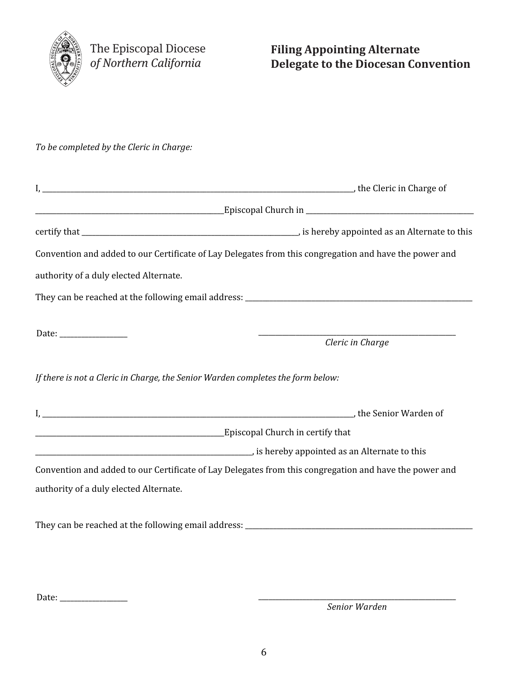

*To be completed by the Cleric in Charge:*

|                                                                                 | Convention and added to our Certificate of Lay Delegates from this congregation and have the power and |  |  |  |  |
|---------------------------------------------------------------------------------|--------------------------------------------------------------------------------------------------------|--|--|--|--|
| authority of a duly elected Alternate.                                          |                                                                                                        |  |  |  |  |
|                                                                                 |                                                                                                        |  |  |  |  |
|                                                                                 |                                                                                                        |  |  |  |  |
| Date: ____________________                                                      | Cleric in Charge                                                                                       |  |  |  |  |
| If there is not a Cleric in Charge, the Senior Warden completes the form below: |                                                                                                        |  |  |  |  |
|                                                                                 |                                                                                                        |  |  |  |  |
|                                                                                 |                                                                                                        |  |  |  |  |
|                                                                                 |                                                                                                        |  |  |  |  |
|                                                                                 | Convention and added to our Certificate of Lay Delegates from this congregation and have the power and |  |  |  |  |
| authority of a duly elected Alternate.                                          |                                                                                                        |  |  |  |  |
|                                                                                 |                                                                                                        |  |  |  |  |

Date: \_\_\_\_\_\_\_\_\_\_\_\_\_\_\_\_\_\_\_ \_\_\_\_\_\_\_\_\_\_\_\_\_\_\_\_\_\_\_\_\_\_\_\_\_\_\_\_\_\_\_\_\_\_\_\_\_\_\_\_\_\_\_\_\_\_\_\_\_\_\_\_\_\_\_\_\_\_

*Senior Warden*